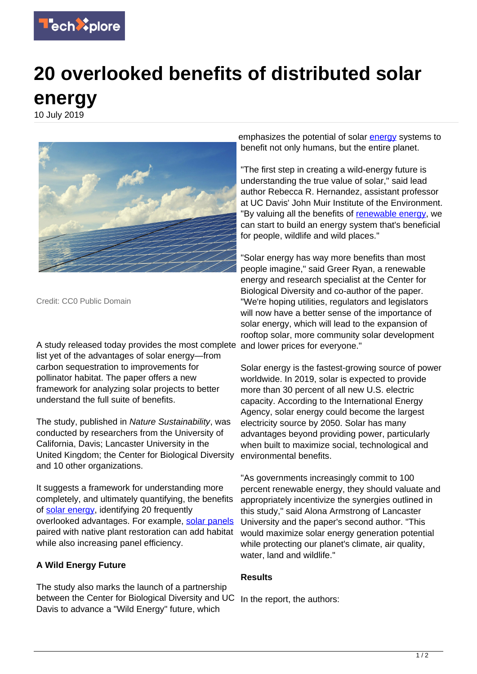

## **20 overlooked benefits of distributed solar energy**

10 July 2019



Credit: CC0 Public Domain

A study released today provides the most complete and lower prices for everyone." list yet of the advantages of solar energy—from carbon sequestration to improvements for pollinator habitat. The paper offers a new framework for analyzing solar projects to better understand the full suite of benefits.

The study, published in Nature Sustainability, was conducted by researchers from the University of California, Davis; Lancaster University in the United Kingdom; the Center for Biological Diversity and 10 other organizations.

It suggests a framework for understanding more completely, and ultimately quantifying, the benefits of [solar energy](https://techxplore.com/tags/solar+energy/), identifying 20 frequently overlooked advantages. For example, [solar panels](https://techxplore.com/tags/solar+panels/) paired with native plant restoration can add habitat while also increasing panel efficiency.

## **A Wild Energy Future**

The study also marks the launch of a partnership between the Center for Biological Diversity and UC In the report, the authors: Davis to advance a "Wild Energy" future, which

emphasizes the potential of solar [energy](https://techxplore.com/tags/energy/) systems to benefit not only humans, but the entire planet.

"The first step in creating a wild-energy future is understanding the true value of solar," said lead author Rebecca R. Hernandez, assistant professor at UC Davis' John Muir Institute of the Environment. "By valuing all the benefits of [renewable energy,](https://techxplore.com/tags/renewable+energy/) we can start to build an energy system that's beneficial for people, wildlife and wild places."

"Solar energy has way more benefits than most people imagine," said Greer Ryan, a renewable energy and research specialist at the Center for Biological Diversity and co-author of the paper. "We're hoping utilities, regulators and legislators will now have a better sense of the importance of solar energy, which will lead to the expansion of rooftop solar, more community solar development

Solar energy is the fastest-growing source of power worldwide. In 2019, solar is expected to provide more than 30 percent of all new U.S. electric capacity. According to the International Energy Agency, solar energy could become the largest electricity source by 2050. Solar has many advantages beyond providing power, particularly when built to maximize social, technological and environmental benefits.

"As governments increasingly commit to 100 percent renewable energy, they should valuate and appropriately incentivize the synergies outlined in this study," said Alona Armstrong of Lancaster University and the paper's second author. "This would maximize solar energy generation potential while protecting our planet's climate, air quality, water, land and wildlife."

## **Results**